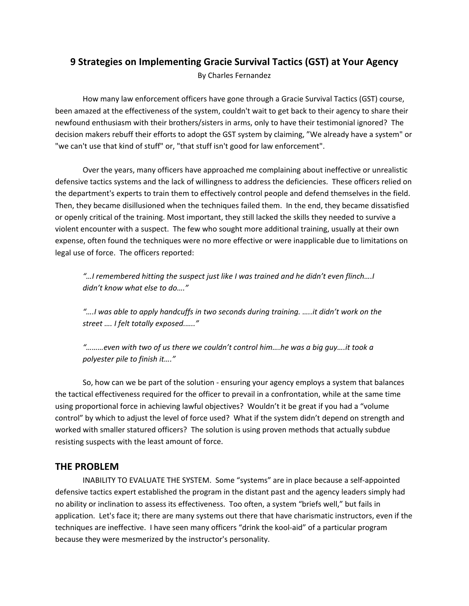## **9 Strategies on Implementing Gracie Survival Tactics (GST) at Your Agency**

By Charles Fernandez

How many law enforcement officers have gone through a Gracie Survival Tactics (GST) course, been amazed at the effectiveness of the system, couldn't wait to get back to their agency to share their newfound enthusiasm with their brothers/sisters in arms, only to have their testimonial ignored? The decision makers rebuff their efforts to adopt the GST system by claiming, "We already have a system" or "we can't use that kind of stuff" or, "that stuff isn't good for law enforcement".

Over the years, many officers have approached me complaining about ineffective or unrealistic defensive tactics systems and the lack of willingness to address the deficiencies. These officers relied on the department's experts to train them to effectively control people and defend themselves in the field. Then, they became disillusioned when the techniques failed them. In the end, they became dissatisfied or openly critical of the training. Most important, they still lacked the skills they needed to survive a violent encounter with a suspect. The few who sought more additional training, usually at their own expense, often found the techniques were no more effective or were inapplicable due to limitations on legal use of force. The officers reported:

*"…I remembered hitting the suspect just like I was trained and he didn't even flinch….I didn't know what else to do…."*

*"….I was able to apply handcuffs in two seconds during training. …..it didn't work on the street …. I felt totally exposed.….."*

*"………even with two of us there we couldn't control him….he was a big guy….it took a polyester pile to finish it…."*

So, how can we be part of the solution ‐ ensuring your agency employs a system that balances the tactical effectiveness required for the officer to prevail in a confrontation, while at the same time using proportional force in achieving lawful objectives? Wouldn't it be great if you had a "volume control" by which to adjust the level of force used? What if the system didn't depend on strength and worked with smaller statured officers? The solution is using proven methods that actually subdue resisting suspects with the least amount of force.

## **THE PROBLEM**

INABILITY TO EVALUATE THE SYSTEM. Some "systems" are in place because a self‐appointed defensive tactics expert established the program in the distant past and the agency leaders simply had no ability or inclination to assess its effectiveness. Too often, a system "briefs well," but fails in application. Let's face it; there are many systems out there that have charismatic instructors, even if the techniques are ineffective. I have seen many officers "drink the kool-aid" of a particular program because they were mesmerized by the instructor's personality.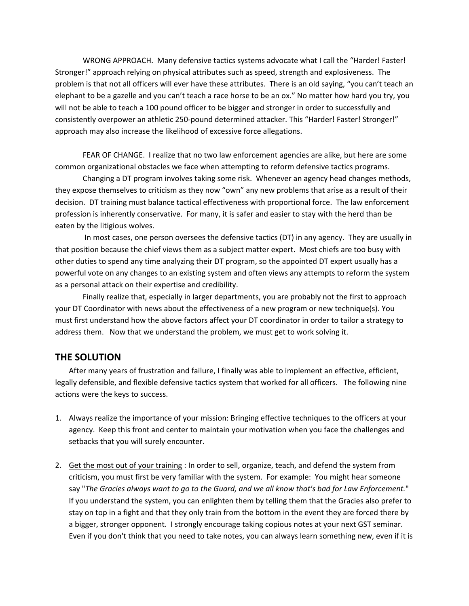WRONG APPROACH. Many defensive tactics systems advocate what I call the "Harder! Faster! Stronger!" approach relying on physical attributes such as speed, strength and explosiveness. The problem is that not all officers will ever have these attributes. There is an old saying, "you can't teach an elephant to be a gazelle and you can't teach a race horse to be an ox." No matter how hard you try, you will not be able to teach a 100 pound officer to be bigger and stronger in order to successfully and consistently overpower an athletic 250‐pound determined attacker. This "Harder! Faster! Stronger!" approach may also increase the likelihood of excessive force allegations.

FEAR OF CHANGE. I realize that no two law enforcement agencies are alike, but here are some common organizational obstacles we face when attempting to reform defensive tactics programs.

Changing a DT program involves taking some risk. Whenever an agency head changes methods, they expose themselves to criticism as they now "own" any new problems that arise as a result of their decision. DT training must balance tactical effectiveness with proportional force. The law enforcement profession is inherently conservative. For many, it is safer and easier to stay with the herd than be eaten by the litigious wolves.

In most cases, one person oversees the defensive tactics (DT) in any agency. They are usually in that position because the chief views them as a subject matter expert. Most chiefs are too busy with other duties to spend any time analyzing their DT program, so the appointed DT expert usually has a powerful vote on any changes to an existing system and often views any attempts to reform the system as a personal attack on their expertise and credibility.

Finally realize that, especially in larger departments, you are probably not the first to approach your DT Coordinator with news about the effectiveness of a new program or new technique(s). You must first understand how the above factors affect your DT coordinator in order to tailor a strategy to address them. Now that we understand the problem, we must get to work solving it.

## **THE SOLUTION**

After many years of frustration and failure, I finally was able to implement an effective, efficient, legally defensible, and flexible defensive tactics system that worked for all officers. The following nine actions were the keys to success.

- 1. Always realize the importance of your mission: Bringing effective techniques to the officers at your agency. Keep this front and center to maintain your motivation when you face the challenges and setbacks that you will surely encounter.
- 2. Get the most out of your training : In order to sell, organize, teach, and defend the system from criticism, you must first be very familiar with the system. For example: You might hear someone say "*The Gracies always want to go to the Guard, and we all know that's bad for Law Enforcement.*" If you understand the system, you can enlighten them by telling them that the Gracies also prefer to stay on top in a fight and that they only train from the bottom in the event they are forced there by a bigger, stronger opponent. I strongly encourage taking copious notes at your next GST seminar. Even if you don't think that you need to take notes, you can always learn something new, even if it is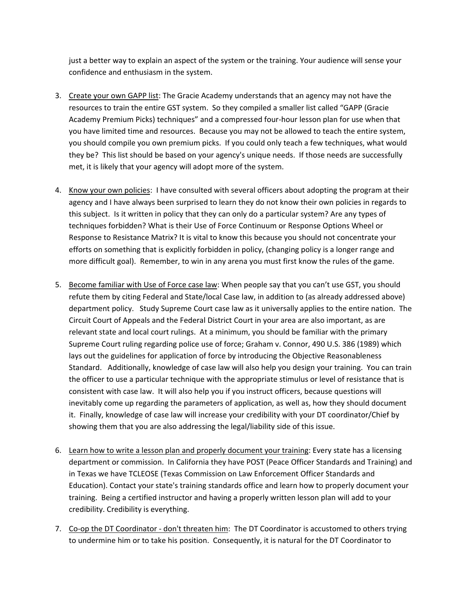just a better way to explain an aspect of the system or the training. Your audience will sense your confidence and enthusiasm in the system.

- 3. Create your own GAPP list: The Gracie Academy understands that an agency may not have the resources to train the entire GST system. So they compiled a smaller list called "GAPP (Gracie Academy Premium Picks) techniques" and a compressed four‐hour lesson plan for use when that you have limited time and resources. Because you may not be allowed to teach the entire system, you should compile you own premium picks. If you could only teach a few techniques, what would they be? This list should be based on your agency's unique needs. If those needs are successfully met, it is likely that your agency will adopt more of the system.
- 4. Know your own policies: I have consulted with several officers about adopting the program at their agency and I have always been surprised to learn they do not know their own policies in regards to this subject. Is it written in policy that they can only do a particular system? Are any types of techniques forbidden? What is their Use of Force Continuum or Response Options Wheel or Response to Resistance Matrix? It is vital to know this because you should not concentrate your efforts on something that is explicitly forbidden in policy, (changing policy is a longer range and more difficult goal). Remember, to win in any arena you must first know the rules of the game.
- 5. Become familiar with Use of Force case law: When people say that you can't use GST, you should refute them by citing Federal and State/local Case law, in addition to (as already addressed above) department policy. Study Supreme Court case law as it universally applies to the entire nation. The Circuit Court of Appeals and the Federal District Court in your area are also important, as are relevant state and local court rulings. At a minimum, you should be familiar with the primary Supreme Court ruling regarding police use of force; Graham v. Connor, 490 U.S. 386 (1989) which lays out the guidelines for application of force by introducing the Objective Reasonableness Standard. Additionally, knowledge of case law will also help you design your training. You can train the officer to use a particular technique with the appropriate stimulus or level of resistance that is consistent with case law. It will also help you if you instruct officers, because questions will inevitably come up regarding the parameters of application, as well as, how they should document it. Finally, knowledge of case law will increase your credibility with your DT coordinator/Chief by showing them that you are also addressing the legal/liability side of this issue.
- 6. Learn how to write a lesson plan and properly document your training: Every state has a licensing department or commission. In California they have POST (Peace Officer Standards and Training) and in Texas we have TCLEOSE (Texas Commission on Law Enforcement Officer Standards and Education). Contact your state's training standards office and learn how to properly document your training. Being a certified instructor and having a properly written lesson plan will add to your credibility. Credibility is everything.
- 7. Co-op the DT Coordinator don't threaten him: The DT Coordinator is accustomed to others trying to undermine him or to take his position. Consequently, it is natural for the DT Coordinator to